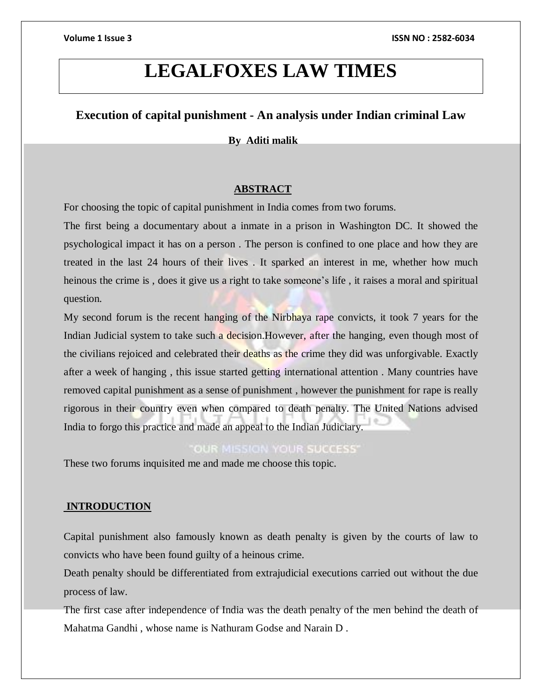# **LEGALFOXES LAW TIMES**

# **Execution of capital punishment - An analysis under Indian criminal Law**

### **By Aditi malik**

### **ABSTRACT**

For choosing the topic of capital punishment in India comes from two forums.

The first being a documentary about a inmate in a prison in Washington DC. It showed the psychological impact it has on a person . The person is confined to one place and how they are treated in the last 24 hours of their lives . It sparked an interest in me, whether how much heinous the crime is , does it give us a right to take someone's life , it raises a moral and spiritual question.

My second forum is the recent hanging of the Nirbhaya rape convicts, it took 7 years for the Indian Judicial system to take such a decision. However, after the hanging, even though most of the civilians rejoiced and celebrated their deaths as the crime they did was unforgivable. Exactly after a week of hanging , this issue started getting international attention . Many countries have removed capital punishment as a sense of punishment , however the punishment for rape is really rigorous in their country even when compared to death penalty. The United Nations advised India to forgo this practice and made an appeal to the Indian Judiciary.

# **OUR MISSION YOUR SUCCESS'**

These two forums inquisited me and made me choose this topic.

### **INTRODUCTION**

Capital punishment also famously known as death penalty is given by the courts of law to convicts who have been found guilty of a heinous crime.

Death penalty should be differentiated from extrajudicial executions carried out without the due process of law.

The first case after independence of India was the death penalty of the men behind the death of Mahatma Gandhi , whose name is Nathuram Godse and Narain D .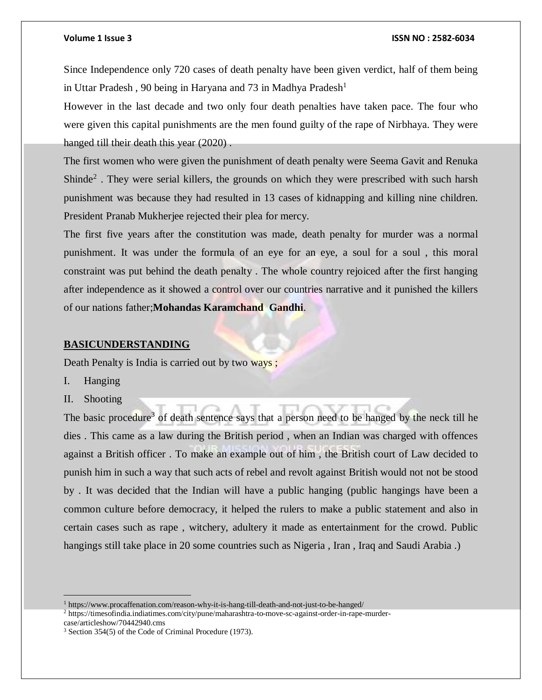Since Independence only 720 cases of death penalty have been given verdict, half of them being in Uttar Pradesh, 90 being in Haryana and 73 in Madhya Pradesh<sup>1</sup>

However in the last decade and two only four death penalties have taken pace. The four who were given this capital punishments are the men found guilty of the rape of Nirbhaya. They were hanged till their death this year (2020) .

The first women who were given the punishment of death penalty were Seema Gavit and Renuka Shinde<sup>2</sup>. They were serial killers, the grounds on which they were prescribed with such harsh punishment was because they had resulted in 13 cases of kidnapping and killing nine children. President Pranab Mukherjee rejected their plea for mercy.

The first five years after the constitution was made, death penalty for murder was a normal punishment. It was under the formula of an eye for an eye, a soul for a soul , this moral constraint was put behind the death penalty . The whole country rejoiced after the first hanging after independence as it showed a control over our countries narrative and it punished the killers of our nations father;**Mohandas Karamchand Gandhi**.

#### **BASICUNDERSTANDING**

Death Penalty is India is carried out by two ways ;

- I. Hanging
- II. Shooting

The basic procedure<sup>3</sup> of death sentence says that a person need to be hanged by the neck till he dies . This came as a law during the British period , when an Indian was charged with offences against a British officer . To make an example out of him , the British court of Law decided to punish him in such a way that such acts of rebel and revolt against British would not not be stood by . It was decided that the Indian will have a public hanging (public hangings have been a common culture before democracy, it helped the rulers to make a public statement and also in certain cases such as rape , witchery, adultery it made as entertainment for the crowd. Public hangings still take place in 20 some countries such as Nigeria , Iran , Iraq and Saudi Arabia .)

<sup>1</sup> https://www.procaffenation.com/reason-why-it-is-hang-till-death-and-not-just-to-be-hanged/

<sup>2</sup> https://timesofindia.indiatimes.com/city/pune/maharashtra-to-move-sc-against-order-in-rape-murdercase/articleshow/70442940.cms

<sup>3</sup> Section 354(5) of the Code of Criminal Procedure (1973).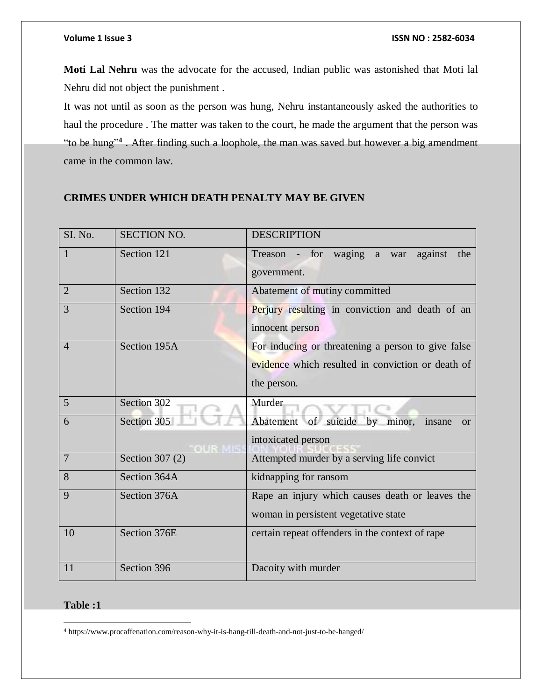**Moti Lal Nehru** was the advocate for the accused, Indian public was astonished that Moti lal Nehru did not object the punishment .

It was not until as soon as the person was hung, Nehru instantaneously asked the authorities to haul the procedure . The matter was taken to the court, he made the argument that the person was "to be hung"**<sup>4</sup>** . After finding such a loophole, the man was saved but however a big amendment came in the common law.

# **CRIMES UNDER WHICH DEATH PENALTY MAY BE GIVEN**

| SI. No.        | <b>SECTION NO.</b> | <b>DESCRIPTION</b>                                                                                                     |
|----------------|--------------------|------------------------------------------------------------------------------------------------------------------------|
| $\mathbf{1}$   | Section 121        | Treason - for waging a war<br>against<br>the<br>government.                                                            |
| $\overline{2}$ | Section 132        | Abatement of mutiny committed                                                                                          |
| 3              | Section 194        | Perjury resulting in conviction and death of an<br>innocent person                                                     |
| $\overline{4}$ | Section 195A       | For inducing or threatening a person to give false<br>evidence which resulted in conviction or death of<br>the person. |
| 5              | Section 302        | Murder                                                                                                                 |
| 6              | Section 305        | Abatement of suicide by<br>minor,<br>insane<br>or<br>intoxicated person                                                |
| $\overline{7}$ | Section 307 (2)    | Attempted murder by a serving life convict                                                                             |
| 8              | Section 364A       | kidnapping for ransom                                                                                                  |
| 9              | Section 376A       | Rape an injury which causes death or leaves the<br>woman in persistent vegetative state                                |
| 10             | Section 376E       | certain repeat offenders in the context of rape                                                                        |
| 11             | Section 396        | Dacoity with murder                                                                                                    |

### **Table :1**

 $\overline{\phantom{a}}$ <sup>4</sup> https://www.procaffenation.com/reason-why-it-is-hang-till-death-and-not-just-to-be-hanged/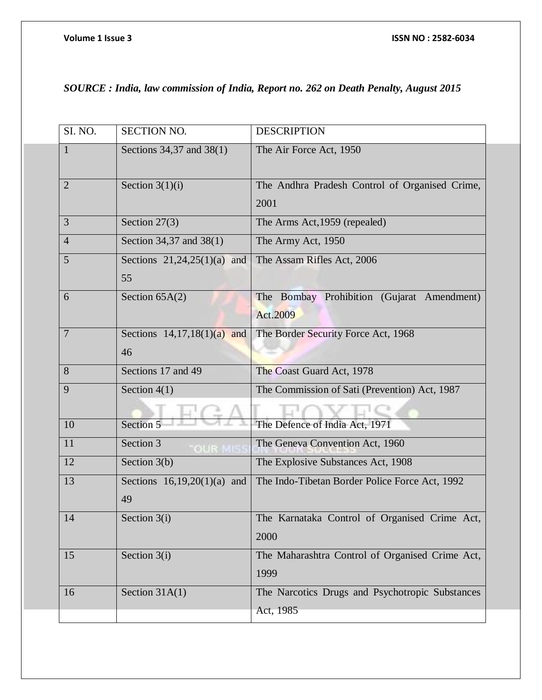# *SOURCE : India, law commission of India, Report no. 262 on Death Penalty, August 2015*

| SI. NO.        | <b>SECTION NO.</b>            | <b>DESCRIPTION</b>                              |
|----------------|-------------------------------|-------------------------------------------------|
| 1              | Sections 34,37 and 38(1)      | The Air Force Act, 1950                         |
| $\overline{2}$ | Section $3(1)(i)$             | The Andhra Pradesh Control of Organised Crime,  |
|                |                               | 2001                                            |
| 3              | Section $27(3)$               | The Arms Act, 1959 (repealed)                   |
| $\overline{4}$ | Section 34,37 and 38(1)       | The Army Act, 1950                              |
| 5              | Sections $21,24,25(1)(a)$ and | The Assam Rifles Act, 2006                      |
|                | 55                            |                                                 |
| 6              | Section $65A(2)$              | The Bombay Prohibition (Gujarat Amendment)      |
|                |                               | Act.2009                                        |
| $\overline{7}$ | Sections $14,17,18(1)(a)$ and | The Border Security Force Act, 1968             |
|                | 46                            |                                                 |
| 8              | Sections 17 and 49            | The Coast Guard Act, 1978                       |
| 9              | Section $4(1)$                | The Commission of Sati (Prevention) Act, 1987   |
|                |                               |                                                 |
| 10             | Section 5                     | The Defence of India Act, 1971                  |
| 11             | Section 3                     | The Geneva Convention Act, 1960                 |
| 12             | Section $3(b)$                | The Explosive Substances Act, 1908              |
| 13             | Sections $16,19,20(1)(a)$ and | The Indo-Tibetan Border Police Force Act, 1992  |
|                | 49                            |                                                 |
| 14             | Section $3(i)$                | The Karnataka Control of Organised Crime Act,   |
|                |                               | 2000                                            |
| 15             | Section 3(i)                  | The Maharashtra Control of Organised Crime Act, |
|                |                               | 1999                                            |
| 16             | Section $31A(1)$              | The Narcotics Drugs and Psychotropic Substances |
|                |                               | Act, 1985                                       |
|                |                               |                                                 |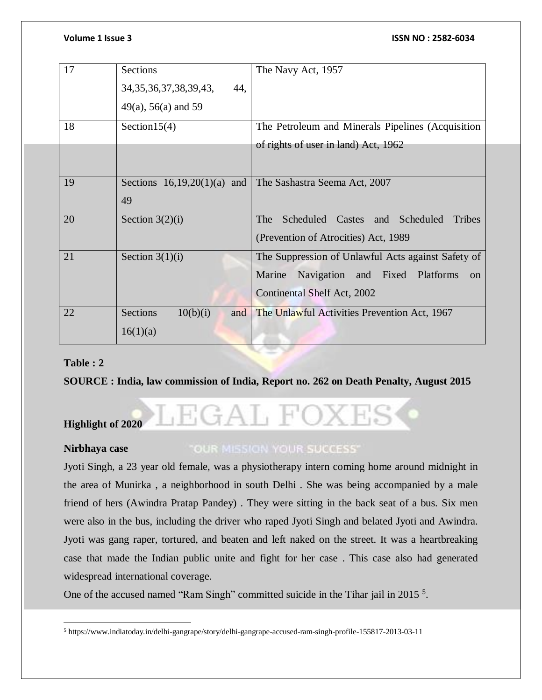| 17 | <b>Sections</b>                    | The Navy Act, 1957                                       |
|----|------------------------------------|----------------------------------------------------------|
|    | 34, 35, 36, 37, 38, 39, 43,<br>44, |                                                          |
|    | $49(a)$ , 56(a) and 59             |                                                          |
| 18 | Section $15(4)$                    | The Petroleum and Minerals Pipelines (Acquisition        |
|    |                                    | of rights of user in land) Act, 1962                     |
|    |                                    |                                                          |
| 19 | Sections $16,19,20(1)(a)$ and      | The Sashastra Seema Act, 2007                            |
|    | 49                                 |                                                          |
| 20 | Section $3(2)(i)$                  | Scheduled<br>The<br>Castes<br>Scheduled<br>Tribes<br>and |
|    |                                    | (Prevention of Atrocities) Act, 1989                     |
| 21 | Section $3(1)(i)$                  | The Suppression of Unlawful Acts against Safety of       |
|    |                                    | Navigation and Fixed Platforms<br>Marine<br>on           |
|    |                                    | Continental Shelf Act, 2002                              |
| 22 | <b>Sections</b><br>10(b)(i)<br>and | The Unlawful Activities Prevention Act, 1967             |
|    | 16(1)(a)                           |                                                          |

### **Table : 2**

**SOURCE : India, law commission of India, Report no. 262 on Death Penalty, August 2015**

# AL F **Highlight of 2020**

### **Nirbhaya case**

# "OUR MISSION YOUR SUCCESS"

Jyoti Singh, a 23 year old female, was a physiotherapy intern coming home around midnight in the area of Munirka , a neighborhood in south Delhi . She was being accompanied by a male friend of hers (Awindra Pratap Pandey) . They were sitting in the back seat of a bus. Six men were also in the bus, including the driver who raped Jyoti Singh and belated Jyoti and Awindra. Jyoti was gang raper, tortured, and beaten and left naked on the street. It was a heartbreaking case that made the Indian public unite and fight for her case . This case also had generated widespread international coverage.

One of the accused named "Ram Singh" committed suicide in the Tihar jail in 2015<sup>5</sup>.

 $\overline{\phantom{a}}$ <sup>5</sup> https://www.indiatoday.in/delhi-gangrape/story/delhi-gangrape-accused-ram-singh-profile-155817-2013-03-11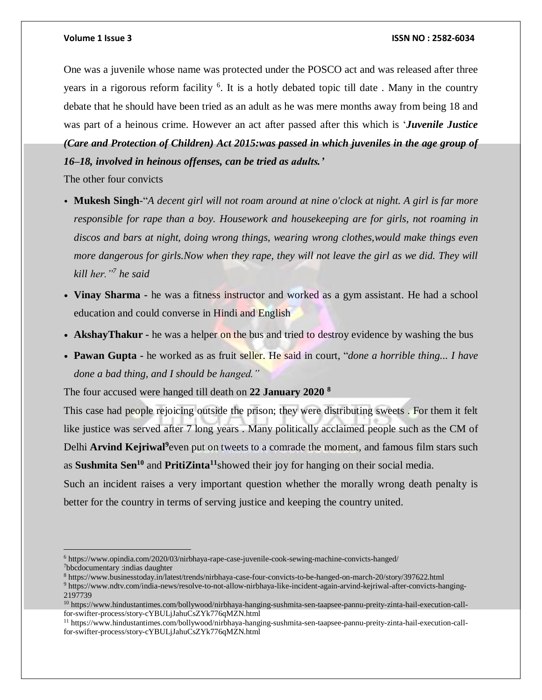One was a juvenile whose name was protected under the POSCO act and was released after three years in a rigorous reform facility <sup>6</sup>. It is a hotly debated topic till date. Many in the country debate that he should have been tried as an adult as he was mere months away from being 18 and was part of a heinous crime. However an act after passed after this which is '*Juvenile Justice*

*(Care and Protection of Children) Act 2015:was passed in which juveniles in the age group of 16–18, involved in heinous offenses, can be tried as adults.'*

The other four convicts

- Mukesh Singh-"A decent girl will not roam around at nine o'clock at night. A girl is far more *responsible for rape than a boy. Housework and housekeeping are for girls, not roaming in discos and bars at night, doing wrong things, wearing wrong clothes,would make things even more dangerous for girls.Now when they rape, they will not leave the girl as we did. They will kill her."<sup>7</sup> he said*
- **Vinay Sharma -** he was a fitness instructor and worked as a gym assistant. He had a school education and could converse in Hindi and English
- **AkshayThakur -** he was a helper on the bus and tried to destroy evidence by washing the bus
- **Pawan Gupta -** he worked as as fruit seller. He said in court, "*done a horrible thing... I have done a bad thing, and I should be hanged."*

The four accused were hanged till death on **22 January 2020 <sup>8</sup>**

This case had people rejoicing outside the prison; they were distributing sweets . For them it felt like justice was served after 7 long years . Many politically acclaimed people such as the CM of Delhi **Arvind Kejriwal<sup>9</sup> even put on tweets to a comrade the moment, and famous film stars such** as **Sushmita Sen<sup>10</sup>** and **PritiZinta<sup>11</sup>**showed their joy for hanging on their social media.

Such an incident raises a very important question whether the morally wrong death penalty is better for the country in terms of serving justice and keeping the country united.

 $\overline{a}$ <sup>6</sup> https://www.opindia.com/2020/03/nirbhaya-rape-case-juvenile-cook-sewing-machine-convicts-hanged/ <sup>7</sup>bbcdocumentary :indias daughter

<sup>8</sup> https://www.businesstoday.in/latest/trends/nirbhaya-case-four-convicts-to-be-hanged-on-march-20/story/397622.html

<sup>9</sup> https://www.ndtv.com/india-news/resolve-to-not-allow-nirbhaya-like-incident-again-arvind-kejriwal-after-convicts-hanging-2197739

<sup>10</sup> https://www.hindustantimes.com/bollywood/nirbhaya-hanging-sushmita-sen-taapsee-pannu-preity-zinta-hail-execution-callfor-swifter-process/story-cYBULjJahuCsZYk776qMZN.html

<sup>11</sup> https://www.hindustantimes.com/bollywood/nirbhaya-hanging-sushmita-sen-taapsee-pannu-preity-zinta-hail-execution-callfor-swifter-process/story-cYBULjJahuCsZYk776qMZN.html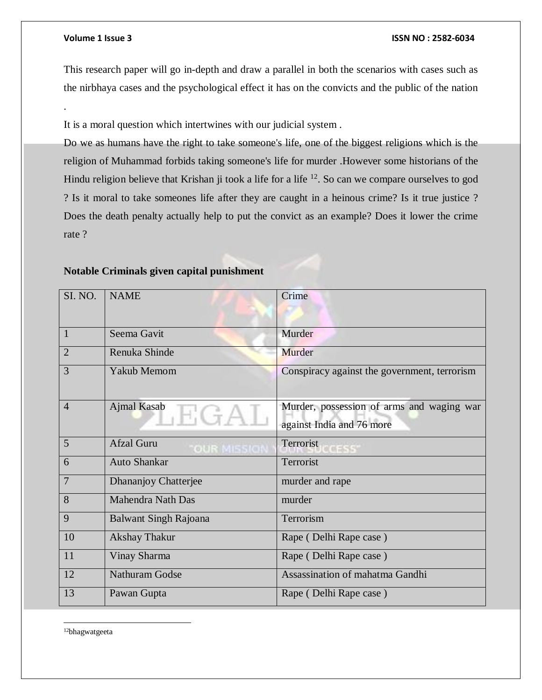.

#### **Volume 1 Issue 3 ISSN NO : 2582-6034**

This research paper will go in-depth and draw a parallel in both the scenarios with cases such as the nirbhaya cases and the psychological effect it has on the convicts and the public of the nation

It is a moral question which intertwines with our judicial system .

Do we as humans have the right to take someone's life, one of the biggest religions which is the religion of Muhammad forbids taking someone's life for murder .However some historians of the Hindu religion believe that Krishan ji took a life for a life <sup>12</sup>. So can we compare ourselves to god ? Is it moral to take someones life after they are caught in a heinous crime? Is it true justice ? Does the death penalty actually help to put the convict as an example? Does it lower the crime rate ?

| SI. NO.        | <b>NAME</b>                  | Crime                                                                  |
|----------------|------------------------------|------------------------------------------------------------------------|
|                |                              |                                                                        |
| 1              | Seema Gavit                  | Murder                                                                 |
| $\overline{2}$ | Renuka Shinde                | Murder                                                                 |
| 3              | <b>Yakub Memom</b>           | Conspiracy against the government, terrorism                           |
| $\overline{4}$ | Ajmal Kasab<br>H(fA)         | Murder, possession of arms and waging war<br>against India and 76 more |
| 5              | <b>Afzal Guru</b>            | Terrorist                                                              |
| 6              | <b>Auto Shankar</b>          | Terrorist                                                              |
| 7              | Dhananjoy Chatterjee         | murder and rape                                                        |
| 8              | <b>Mahendra Nath Das</b>     | murder                                                                 |
| 9              | <b>Balwant Singh Rajoana</b> | Terrorism                                                              |
| 10             | <b>Akshay Thakur</b>         | Rape (Delhi Rape case)                                                 |
| 11             | Vinay Sharma                 | Rape (Delhi Rape case)                                                 |
| 12             | <b>Nathuram Godse</b>        | Assassination of mahatma Gandhi                                        |
| 13             | Pawan Gupta                  | Rape (Delhi Rape case)                                                 |

#### **Notable Criminals given capital punishment**

 $\overline{\phantom{a}}$ 12bhagwatgeeta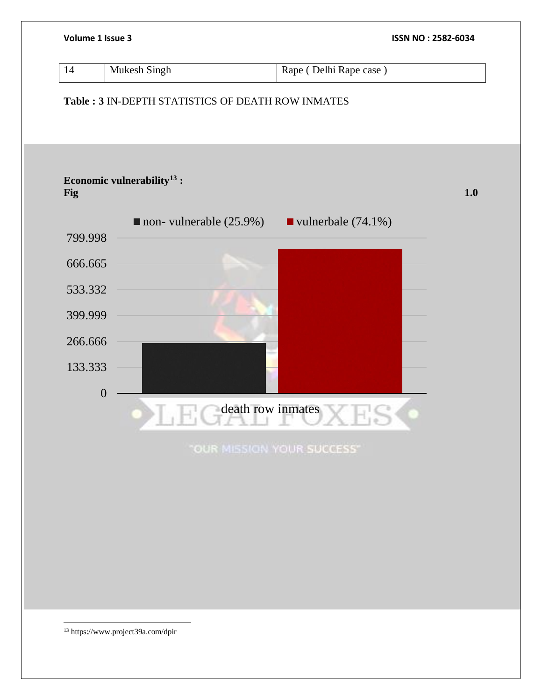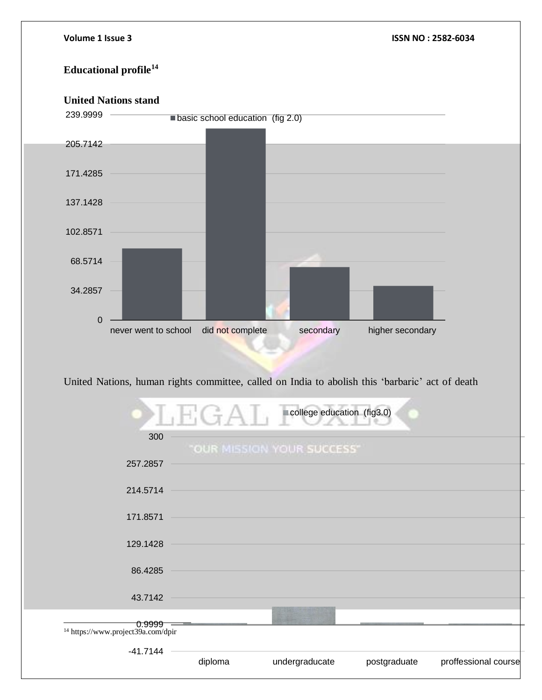# **Educational profile<sup>14</sup>**

# **United Nations stand**



United Nations, human rights committee, called on India to abolish this 'barbaric' act of death

|                                                                    | H: G A                     | college education (fig3.0) |              |                      |
|--------------------------------------------------------------------|----------------------------|----------------------------|--------------|----------------------|
| 300                                                                | "OUR MISSION YOUR SUCCESS" |                            |              |                      |
| 257.2857                                                           |                            |                            |              |                      |
| 214.5714                                                           |                            |                            |              |                      |
| 171.8571                                                           |                            |                            |              |                      |
| 129.1428                                                           |                            |                            |              |                      |
| 86.4285                                                            |                            |                            |              |                      |
| 43.7142                                                            |                            |                            |              |                      |
| <del>0.9999</del><br><sup>14</sup> https://www.project39a.com/dpir |                            |                            |              |                      |
| $-41.7144$                                                         |                            |                            |              |                      |
|                                                                    | diploma                    | undergraducate             | postgraduate | proffessional course |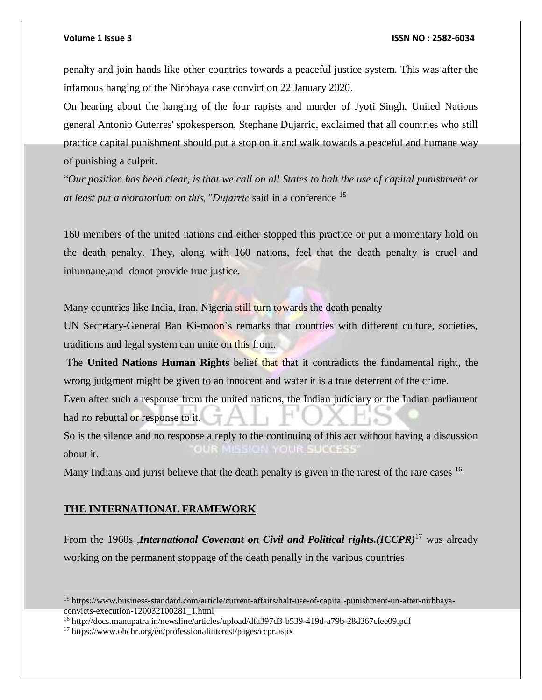penalty and join hands like other countries towards a peaceful justice system. This was after the infamous hanging of the Nirbhaya case convict on 22 January 2020.

On hearing about the hanging of the four rapists and murder of Jyoti Singh, United Nations general Antonio Guterres' spokesperson, Stephane Dujarric, exclaimed that all countries who still practice capital punishment should put a stop on it and walk towards a peaceful and humane way of punishing a culprit.

"Our position has been clear, is that we call on all States to halt the use of capital punishment or *at least put a moratorium on this,"Dujarric* said in a conference <sup>15</sup>

160 members of the united nations and either stopped this practice or put a momentary hold on the death penalty. They, along with 160 nations, feel that the death penalty is cruel and inhumane,and donot provide true justice.

Many countries like India, Iran, Nigeria still turn towards the death penalty

UN Secretary-General Ban Ki-moon's remarks that countries with different culture, societies, traditions and legal system can unite on this front.

The **United Nations Human Rights** belief that that it contradicts the fundamental right, the wrong judgment might be given to an innocent and water it is a true deterrent of the crime.

Even after such a response from the united nations, the Indian judiciary or the Indian parliament had no rebuttal or response to it.

So is the silence and no response a reply to the continuing of this act without having a discussion **OUR MISSION YOUR SUCCESS** about it.

Many Indians and jurist believe that the death penalty is given in the rarest of the rare cases <sup>16</sup>

### **THE INTERNATIONAL FRAMEWORK**

From the 1960s ,*International Covenant on Civil and Political rights.(ICCPR)*<sup>17</sup> was already working on the permanent stoppage of the death penally in the various countries

<sup>15</sup> https://www.business-standard.com/article/current-affairs/halt-use-of-capital-punishment-un-after-nirbhayaconvicts-execution-120032100281\_1.html

<sup>16</sup> http://docs.manupatra.in/newsline/articles/upload/dfa397d3-b539-419d-a79b-28d367cfee09.pdf

<sup>17</sup> https://www.ohchr.org/en/professionalinterest/pages/ccpr.aspx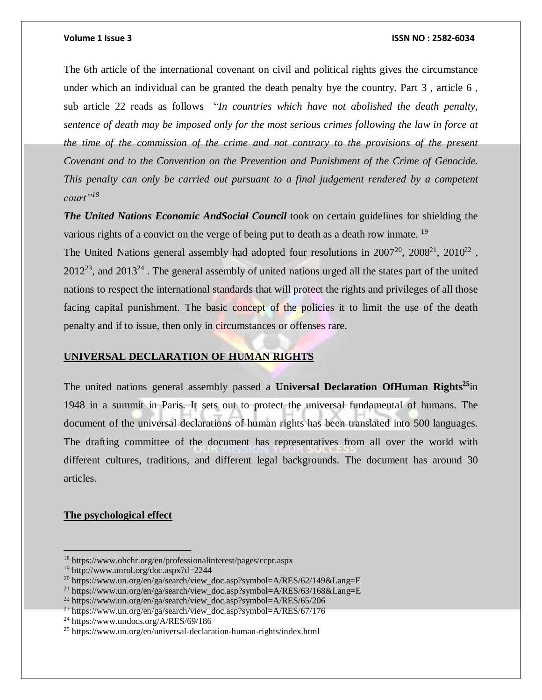The 6th article of the international covenant on civil and political rights gives the circumstance under which an individual can be granted the death penalty bye the country. Part 3 , article 6 , sub article 22 reads as follows "*In countries which have not abolished the death penalty, sentence of death may be imposed only for the most serious crimes following the law in force at the time of the commission of the crime and not contrary to the provisions of the present Covenant and to the Convention on the Prevention and Punishment of the Crime of Genocide. This penalty can only be carried out pursuant to a final judgement rendered by a competent court"<sup>18</sup>*

*The United Nations Economic AndSocial Council* took on certain guidelines for shielding the various rights of a convict on the verge of being put to death as a death row inmate.<sup>19</sup>

The United Nations general assembly had adopted four resolutions in  $2007^{20}$ ,  $2008^{21}$ ,  $2010^{22}$ ,  $2012^{23}$ , and  $2013^{24}$ . The general assembly of united nations urged all the states part of the united nations to respect the international standards that will protect the rights and privileges of all those facing capital punishment. The basic concept of the policies it to limit the use of the death penalty and if to issue, then only in circumstances or offenses rare.

# **UNIVERSAL DECLARATION OF HUMAN RIGHTS**

The united nations general assembly passed a **Universal Declaration OfHuman Rights<sup>25</sup>**in 1948 in a summit in Paris. It sets out to protect the universal fundamental of humans. The document of the universal declarations of human rights has been translated into 500 languages. The drafting committee of the document has representatives from all over the world with different cultures, traditions, and different legal backgrounds. The document has around 30 articles.

### **The psychological effect**

<sup>18</sup> https://www.ohchr.org/en/professionalinterest/pages/ccpr.aspx

<sup>19</sup> http://www.unrol.org/doc.aspx?d=2244

<sup>&</sup>lt;sup>20</sup> https://www.un.org/en/ga/search/view\_doc.asp?symbol=A/RES/62/149&Lang=E

<sup>&</sup>lt;sup>21</sup> https://www.un.org/en/ga/search/view\_doc.asp?symbol=A/RES/63/168&Lang=E

 $^{22}$  https://www.un.org/en/ga/search/view\_doc.asp?symbol=A/RES/65/206

 $^{23}$  https://www.un.org/en/ga/search/view\_doc.asp?symbol=A/RES/67/176

<sup>24</sup> https://www.undocs.org/A/RES/69/186

<sup>25</sup> https://www.un.org/en/universal-declaration-human-rights/index.html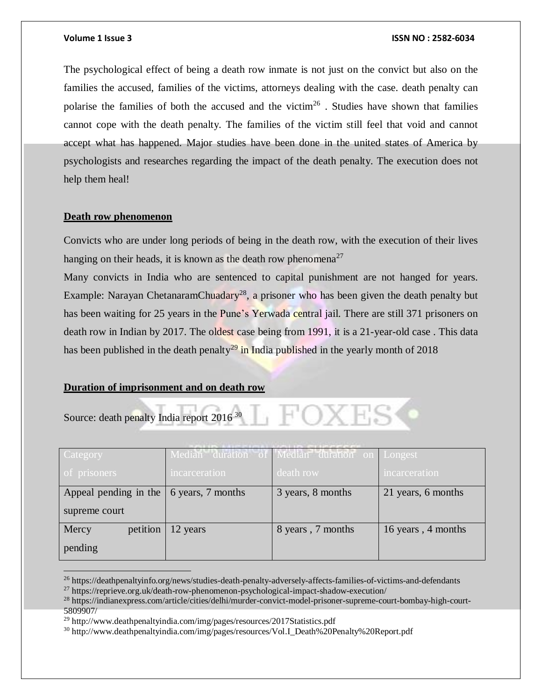The psychological effect of being a death row inmate is not just on the convict but also on the families the accused, families of the victims, attorneys dealing with the case. death penalty can polarise the families of both the accused and the victim<sup>26</sup>. Studies have shown that families cannot cope with the death penalty. The families of the victim still feel that void and cannot accept what has happened. Major studies have been done in the united states of America by psychologists and researches regarding the impact of the death penalty. The execution does not help them heal!

### **Death row phenomenon**

Convicts who are under long periods of being in the death row, with the execution of their lives hanging on their heads, it is known as the death row phenomena<sup>27</sup>

Many convicts in India who are sentenced to capital punishment are not hanged for years. Example: Narayan ChetanaramChuadary<sup>28</sup>, a prisoner who has been given the death penalty but has been waiting for 25 years in the Pune's Yerwada central jail. There are still 371 prisoners on death row in Indian by 2017. The oldest case being from 1991, it is a 21-year-old case . This data has been published in the death penalty<sup>29</sup> in India published in the yearly month of 2018

#### **Duration of imprisonment and on death row**

Source: death penalty India report 2016<sup>30</sup>

 $\overline{a}$ 

| <b>Category</b>       |                   | Median duration of Median duration on Longest |                    |
|-----------------------|-------------------|-----------------------------------------------|--------------------|
| of prisoners          | incarceration     | death row                                     | incarceration      |
| Appeal pending in the | 6 years, 7 months | 3 years, 8 months                             | 21 years, 6 months |
| supreme court         |                   |                                               |                    |
| petition<br>Mercy     | 12 years          | 8 years, 7 months                             | 16 years, 4 months |
| pending               |                   |                                               |                    |

<sup>26</sup> https://deathpenaltyinfo.org/news/studies-death-penalty-adversely-affects-families-of-victims-and-defendants

<sup>27</sup> https://reprieve.org.uk/death-row-phenomenon-psychological-impact-shadow-execution/

<sup>28</sup> https://indianexpress.com/article/cities/delhi/murder-convict-model-prisoner-supreme-court-bombay-high-court-5809907/

<sup>&</sup>lt;sup>29</sup> http://www.deathpenaltyindia.com/img/pages/resources/2017Statistics.pdf

<sup>30</sup> http://www.deathpenaltyindia.com/img/pages/resources/Vol.I\_Death%20Penalty%20Report.pdf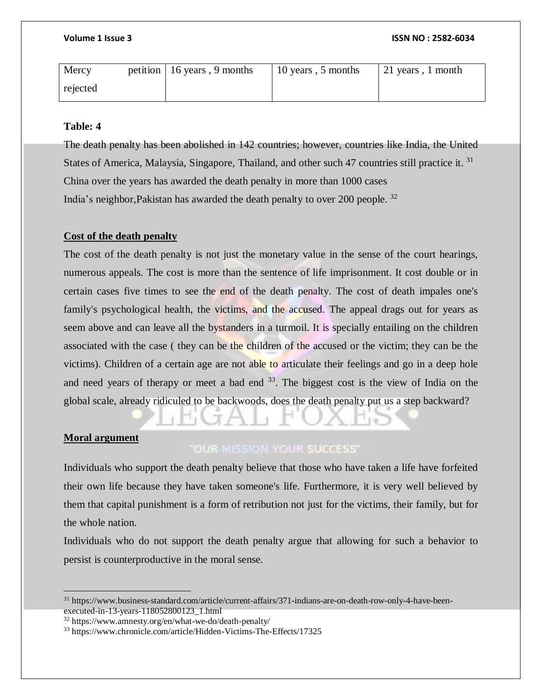| Mercy    | petition   16 years, 9 months | 10 years, 5 months | $21$ years, 1 month |
|----------|-------------------------------|--------------------|---------------------|
| rejected |                               |                    |                     |

# **Table: 4**

The death penalty has been abolished in 142 countries; however, countries like India, the United States of America, Malaysia, Singapore, Thailand, and other such 47 countries still practice it.<sup>31</sup> China over the years has awarded the death penalty in more than 1000 cases India's neighbor,Pakistan has awarded the death penalty to over 200 people. <sup>32</sup>

# **Cost of the death penalty**

The cost of the death penalty is not just the monetary value in the sense of the court hearings, numerous appeals. The cost is more than the sentence of life imprisonment. It cost double or in certain cases five times to see the end of the death penalty. The cost of death impales one's family's psychological health, the victims, and the accused. The appeal drags out for years as seem above and can leave all the bystanders in a turmoil. It is specially entailing on the children associated with the case ( they can be the children of the accused or the victim; they can be the victims). Children of a certain age are not able to articulate their feelings and go in a deep hole and need years of therapy or meet a bad end  $33$ . The biggest cost is the view of India on the global scale, already ridiculed to be backwoods, does the death penalty put us a step backward?

# **Moral argument**

 $\overline{a}$ 

# **"OUR MISSION YOUR SUCCESS"**

Individuals who support the death penalty believe that those who have taken a life have forfeited their own life because they have taken someone's life. Furthermore, it is very well believed by them that capital punishment is a form of retribution not just for the victims, their family, but for the whole nation.

Individuals who do not support the death penalty argue that allowing for such a behavior to persist is counterproductive in the moral sense.

<sup>31</sup> https://www.business-standard.com/article/current-affairs/371-indians-are-on-death-row-only-4-have-beenexecuted-in-13-years-118052800123\_1.html

<sup>32</sup> https://www.amnesty.org/en/what-we-do/death-penalty/

<sup>33</sup> https://www.chronicle.com/article/Hidden-Victims-The-Effects/17325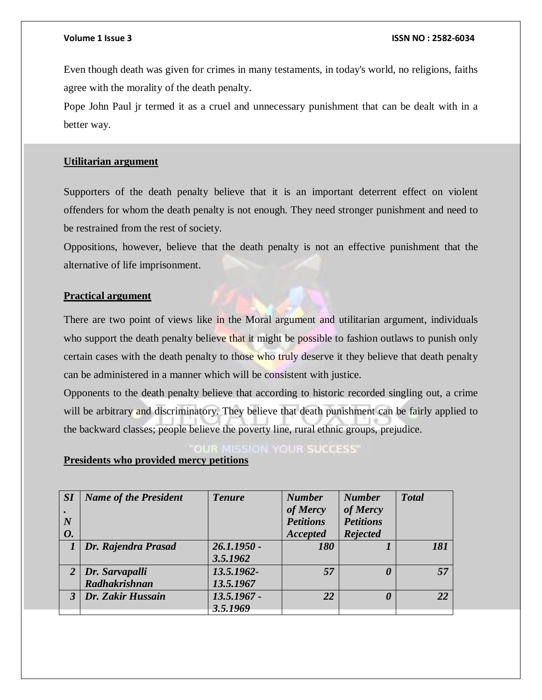Even though death was given for crimes in many testaments, in today's world, no religions, faiths agree with the morality of the death penalty.

Pope John Paul jr termed it as a cruel and unnecessary punishment that can be dealt with in a better way.

### **Utilitarian argument**

Supporters of the death penalty believe that it is an important deterrent effect on violent offenders for whom the death penalty is not enough. They need stronger punishment and need to be restrained from the rest of society.

Oppositions, however, believe that the death penalty is not an effective punishment that the alternative of life imprisonment.

# **Practical argument**

There are two point of views like in the Moral argument and utilitarian argument, individuals who support the death penalty believe that it might be possible to fashion outlaws to punish only certain cases with the death penalty to those who truly deserve it they believe that death penalty can be administered in a manner which will be consistent with justice.

Opponents to the death penalty believe that according to historic recorded singling out, a crime will be arbitrary and discriminatory. They believe that death punishment can be fairly applied to the backward classes; people believe the poverty line, rural ethnic groups, prejudice.

# **IISSION YOUR SUCCESS'**

### **Presidents who provided mercy petitions**

| SI        | <b>Name of the President</b> | <b>Tenure</b> | <b>Number</b>    | <b>Number</b>    | <b>Total</b> |
|-----------|------------------------------|---------------|------------------|------------------|--------------|
|           |                              |               | of Mercy         | of Mercy         |              |
| N         |                              |               | <b>Petitions</b> | <b>Petitions</b> |              |
| <b>O.</b> |                              |               | Accepted         | <b>Rejected</b>  |              |
|           | Dr. Rajendra Prasad          | $26.1.1950 -$ | 180              |                  | 181          |
|           |                              | 3.5.1962      |                  |                  |              |
|           | $2$ Dr. Sarvapalli           | 13.5.1962-    | 57               | 0                | 57           |
|           | Radhakrishnan                | 13.5.1967     |                  |                  |              |
|           | 3   Dr. Zakir Hussain        | $13.5.1967 -$ | 22               | 0                | 22           |
|           |                              | 3.5.1969      |                  |                  |              |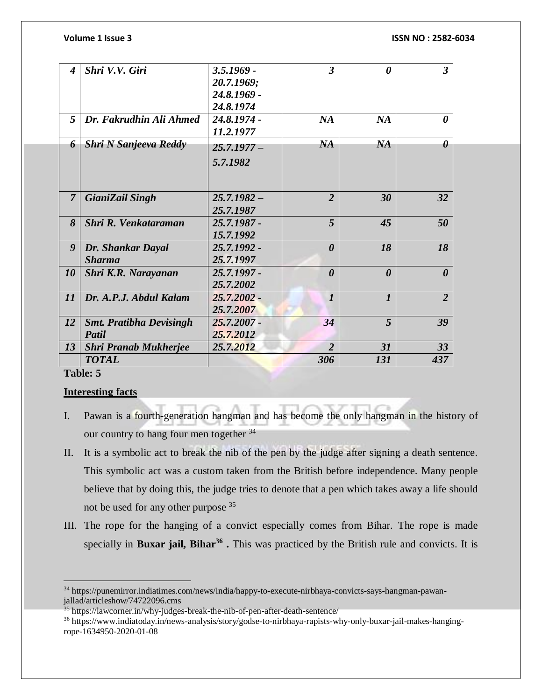| $\boldsymbol{4}$ | Shri V.V. Giri                 | $3.5.1969 -$  | $\overline{3}$        | 0                     | $\overline{3}$        |
|------------------|--------------------------------|---------------|-----------------------|-----------------------|-----------------------|
|                  |                                | 20.7.1969;    |                       |                       |                       |
|                  |                                | 24.8.1969 -   |                       |                       |                       |
|                  |                                | 24.8.1974     |                       |                       |                       |
| 5                | Dr. Fakrudhin Ali Ahmed        | $24.8.1974 -$ | NA                    | NA                    | 0                     |
|                  |                                | 11.2.1977     |                       |                       |                       |
| 6                | <b>Shri N Sanjeeva Reddy</b>   | $25.7.1977-$  | NA                    | NA                    | 0                     |
|                  |                                | 5.7.1982      |                       |                       |                       |
|                  |                                |               |                       |                       |                       |
| $\overline{7}$   | <b>GianiZail Singh</b>         | $25.7.1982 -$ | $\overline{2}$        | 30                    | 32                    |
|                  |                                | 25.7.1987     |                       |                       |                       |
| 8                | Shri R. Venkataraman           | 25.7.1987 -   | $\overline{5}$        | 45                    | 50                    |
|                  |                                | 15.7.1992     |                       |                       |                       |
| 9                | Dr. Shankar Dayal              | 25.7.1992 -   | $\boldsymbol{\theta}$ | 18                    | 18                    |
|                  | <b>Sharma</b>                  | 25.7.1997     |                       |                       |                       |
| 10               | Shri K.R. Narayanan            | 25.7.1997 -   | $\boldsymbol{\theta}$ | $\boldsymbol{\theta}$ | $\boldsymbol{\theta}$ |
|                  |                                | 25.7.2002     |                       |                       |                       |
| 11               | Dr. A.P.J. Abdul Kalam         | $25.7,2002 -$ | $\boldsymbol{l}$      | $\boldsymbol{l}$      | $\overline{2}$        |
|                  |                                | 25.7.2007     |                       |                       |                       |
| 12               | <b>Smt. Pratibha Devisingh</b> | $25.7.2007 -$ | 34                    | 5                     | 39                    |
|                  | Patil                          | 25.7.2012     |                       |                       |                       |
| 13               | <b>Shri Pranab Mukherjee</b>   | 25.7.2012     | $\overline{2}$        | 31                    | 33                    |
|                  | <b>TOTAL</b>                   |               | 306                   | 131                   | 437                   |
|                  |                                |               |                       |                       |                       |

# **Table: 5**

 $\overline{a}$ 

### **Interesting facts**

- I. Pawan is a fourth-generation hangman and has become the only hangman in the history of our country to hang four men together <sup>34</sup>
- II. It is a symbolic act to break the nib of the pen by the judge after signing a death sentence. This symbolic act was a custom taken from the British before independence. Many people believe that by doing this, the judge tries to denote that a pen which takes away a life should not be used for any other purpose <sup>35</sup>
- III. The rope for the hanging of a convict especially comes from Bihar. The rope is made specially in **Buxar jail, Bihar<sup>36</sup> .** This was practiced by the British rule and convicts. It is

<sup>34</sup> https://punemirror.indiatimes.com/news/india/happy-to-execute-nirbhaya-convicts-says-hangman-pawanjallad/articleshow/74722096.cms

<sup>&</sup>lt;sup>35</sup> https://lawcorner.in/why-judges-break-the-nib-of-pen-after-death-sentence/

<sup>36</sup> https://www.indiatoday.in/news-analysis/story/godse-to-nirbhaya-rapists-why-only-buxar-jail-makes-hangingrope-1634950-2020-01-08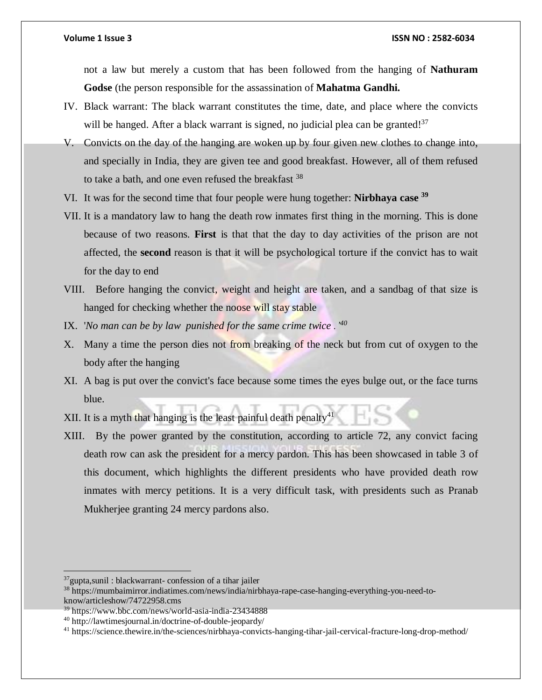not a law but merely a custom that has been followed from the hanging of **Nathuram Godse** (the person responsible for the assassination of **Mahatma Gandhi.**

- IV. Black warrant: The black warrant constitutes the time, date, and place where the convicts will be hanged. After a black warrant is signed, no judicial plea can be granted!<sup>37</sup>
- V. Convicts on the day of the hanging are woken up by four given new clothes to change into, and specially in India, they are given tee and good breakfast. However, all of them refused to take a bath, and one even refused the breakfast <sup>38</sup>
- VI. It was for the second time that four people were hung together: **Nirbhaya case <sup>39</sup>**
- VII. It is a mandatory law to hang the death row inmates first thing in the morning. This is done because of two reasons. **First** is that that the day to day activities of the prison are not affected, the **second** reason is that it will be psychological torture if the convict has to wait for the day to end
- VIII. Before hanging the convict, weight and height are taken, and a sandbag of that size is hanged for checking whether the noose will stay stable
- IX. '*No man can be by law punished for the same crime twice .'<sup>40</sup>*
- X. Many a time the person dies not from breaking of the neck but from cut of oxygen to the body after the hanging
- XI. A bag is put over the convict's face because some times the eyes bulge out, or the face turns blue.
- XII. It is a myth that hanging is the least painful death penalty<sup>41</sup>
- XIII. By the power granted by the constitution, according to article 72, any convict facing death row can ask the president for a mercy pardon. This has been showcased in table 3 of this document, which highlights the different presidents who have provided death row inmates with mercy petitions. It is a very difficult task, with presidents such as Pranab Mukherjee granting 24 mercy pardons also.

 $\overline{a}$ 

 $37$ gupta, sunil : blackwarrant- confession of a tihar jailer

<sup>38</sup> https://mumbaimirror.indiatimes.com/news/india/nirbhaya-rape-case-hanging-everything-you-need-toknow/articleshow/74722958.cms

<sup>39</sup> https://www.bbc.com/news/world-asia-india-23434888

<sup>40</sup> http://lawtimesjournal.in/doctrine-of-double-jeopardy/

<sup>41</sup> https://science.thewire.in/the-sciences/nirbhaya-convicts-hanging-tihar-jail-cervical-fracture-long-drop-method/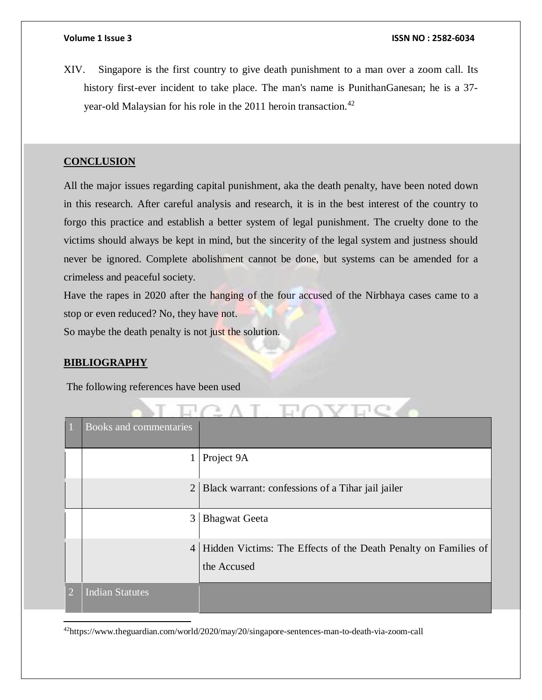XIV. Singapore is the first country to give death punishment to a man over a zoom call. Its history first-ever incident to take place. The man's name is PunithanGanesan; he is a 37 year-old Malaysian for his role in the 2011 heroin transaction.<sup>42</sup>

### **CONCLUSION**

All the major issues regarding capital punishment, aka the death penalty, have been noted down in this research. After careful analysis and research, it is in the best interest of the country to forgo this practice and establish a better system of legal punishment. The cruelty done to the victims should always be kept in mind, but the sincerity of the legal system and justness should never be ignored. Complete abolishment cannot be done, but systems can be amended for a crimeless and peaceful society.

Have the rapes in 2020 after the hanging of the four accused of the Nirbhaya cases came to a stop or even reduced? No, they have not.

So maybe the death penalty is not just the solution.

#### **BIBLIOGRAPHY**

 $\overline{a}$ 

The following references have been used

|                | Books and commentaries |                                                                                |
|----------------|------------------------|--------------------------------------------------------------------------------|
|                | $\mathbf{1}$           | Project 9A                                                                     |
|                | $\overline{2}$         | Black warrant: confessions of a Tihar jail jailer                              |
|                | 3                      | <b>Bhagwat Geeta</b>                                                           |
|                | $\overline{4}$         | Hidden Victims: The Effects of the Death Penalty on Families of<br>the Accused |
| $\overline{2}$ | <b>Indian Statutes</b> |                                                                                |

 $T - 1$ 

42https://www.theguardian.com/world/2020/may/20/singapore-sentences-man-to-death-via-zoom-call

**AT**